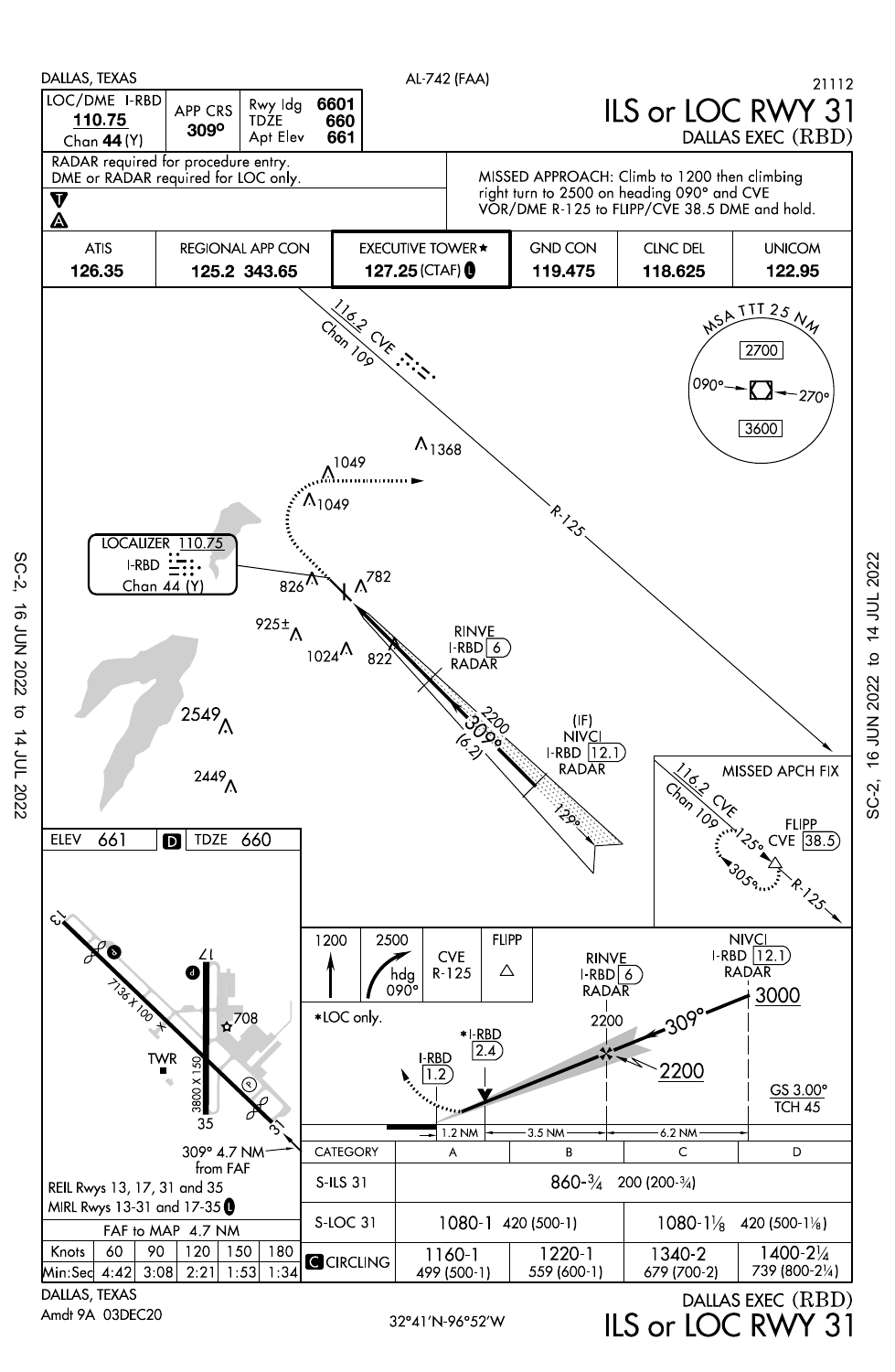

Amdt 9A 03DEC20

 $SC-2$ 

16 JUN 2022

to 14 JUL 2022

32°41′N-96°52′W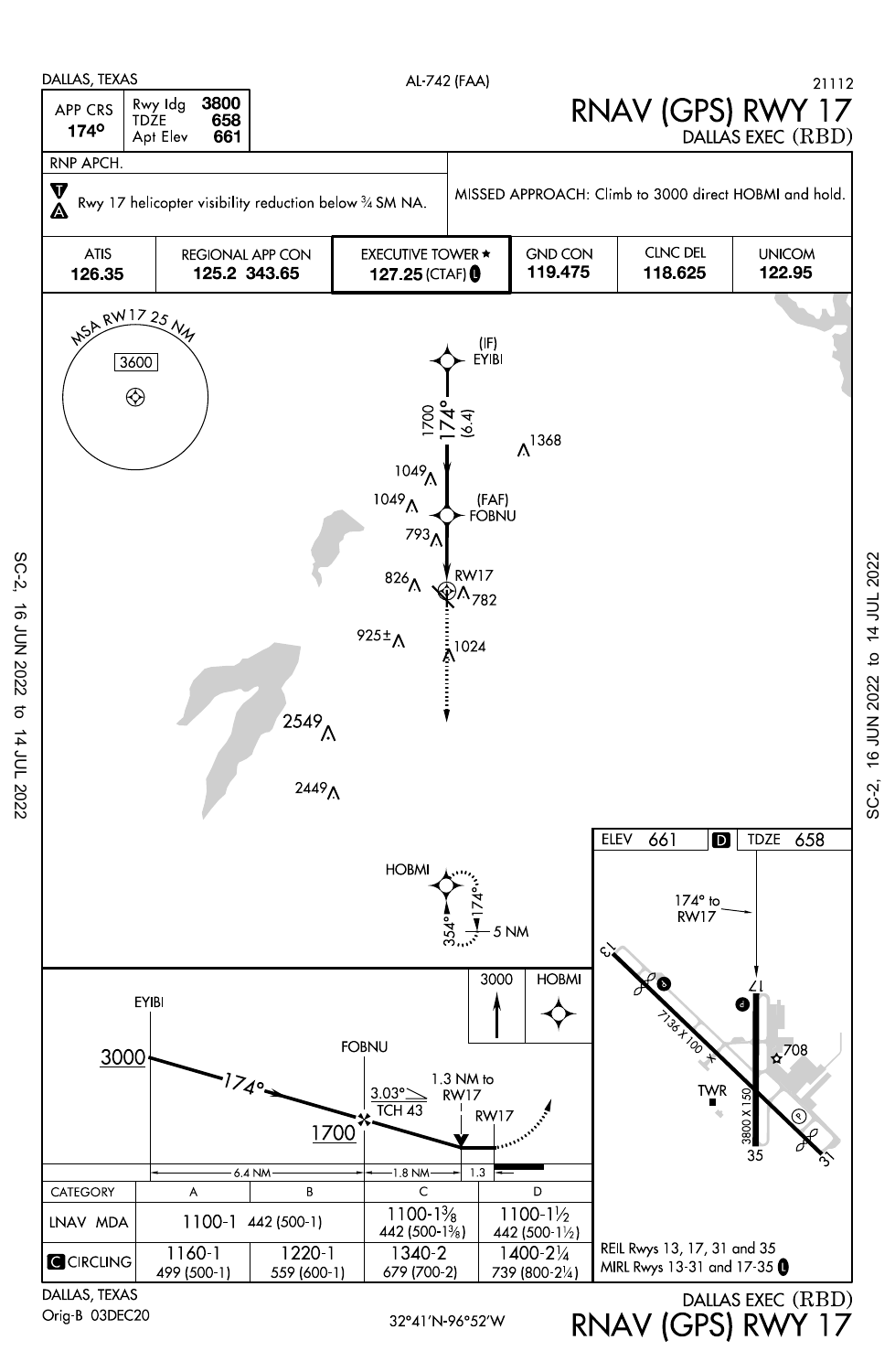

Orig-B 03DEC20

SC-2, 16 JUN 2022 to 14 JUL 2022

16 JUN 2022

 $SC-2$ 

RNAV (GPS) RWY 17

SC-2, 16 JUN 2022 to 14 JUL 2022

 $SC-2$ 

16 JUN 2022 to 14 JUL 2022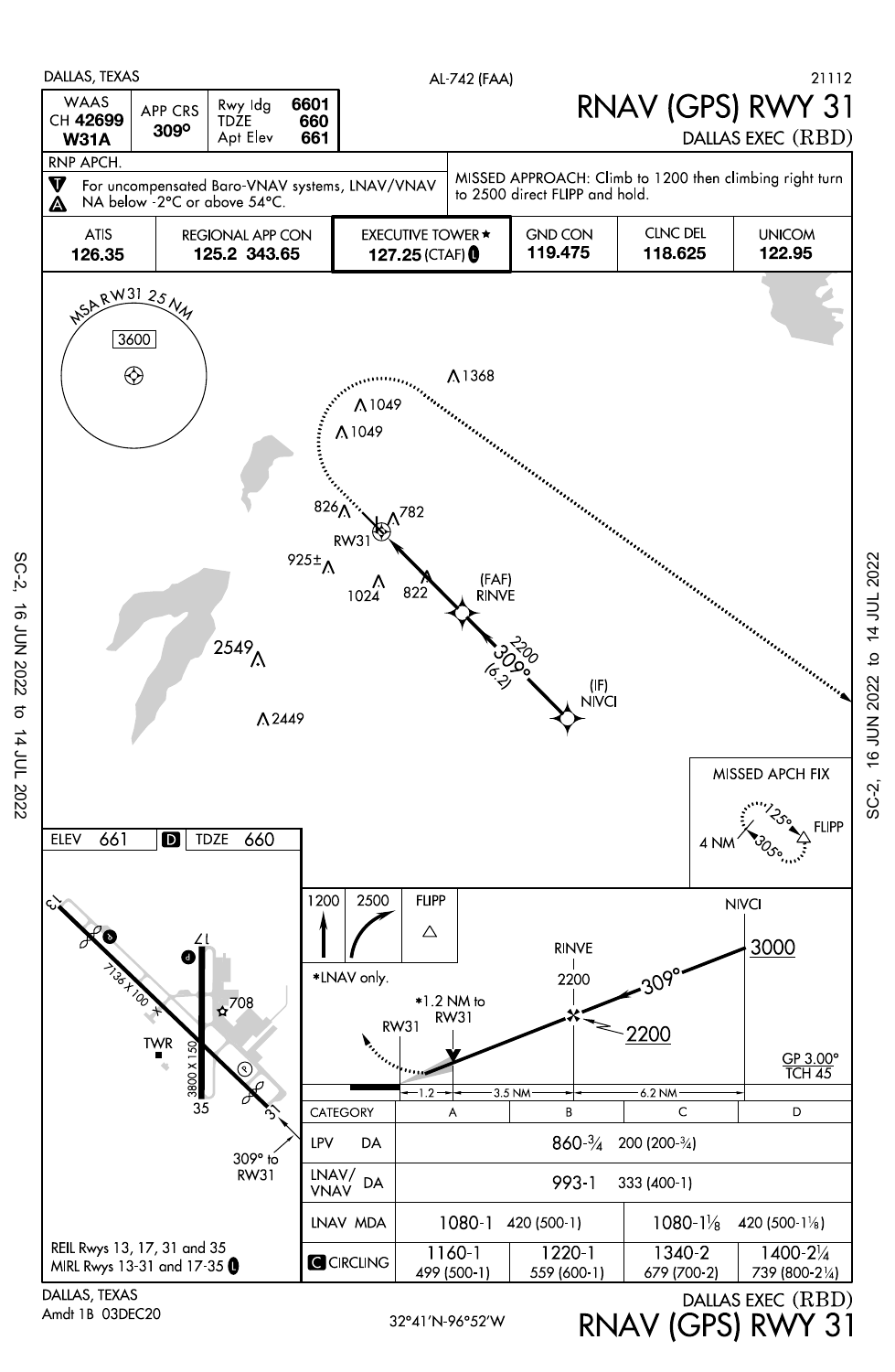

 $SC-2$ **16 JUN 2022**  $\sigma$ 14 JUL 2022

Amdt 1B 03DEC20

RNAV (GPS) RWY 31

16 JUN 2022 to 14 JUL 2022

SC-2,

32°41′N-96°52′W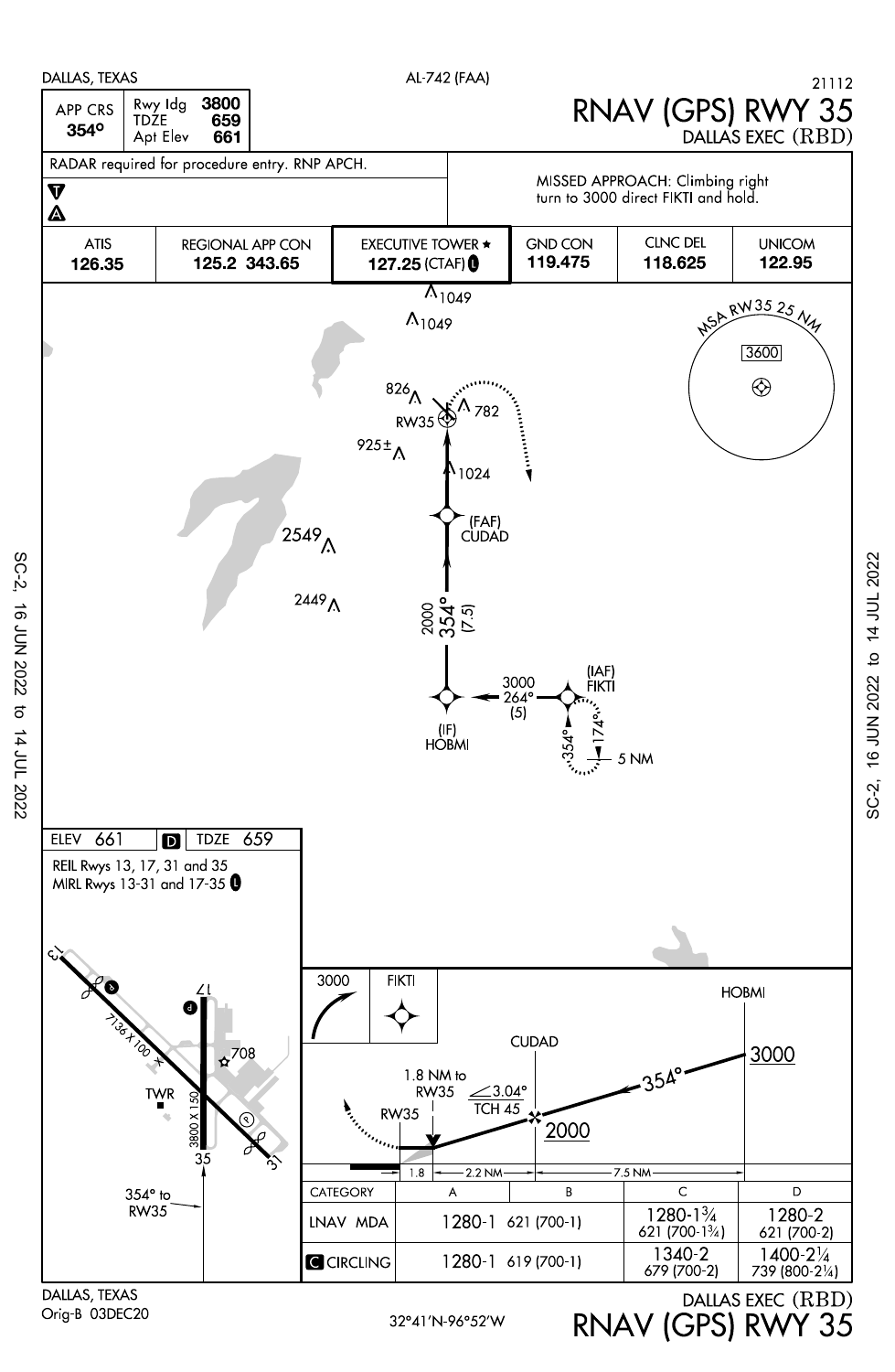

Orig-B 03DEC20

SC-2, 16 JUN 2022 to 14 JUL 2022